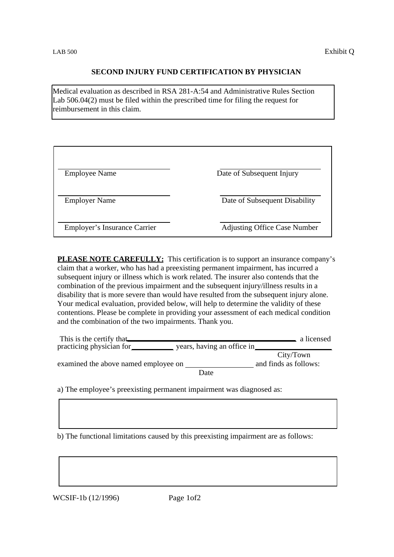## **SECOND INJURY FUND CERTIFICATION BY PHYSICIAN**

Medical evaluation as described in RSA 281-A:54 and Administrative Rules Section Lab 506.04(2) must be filed within the prescribed time for filing the request for reimbursement in this claim.

| <b>Employee Name</b>         | Date of Subsequent Injury           |
|------------------------------|-------------------------------------|
| <b>Employer Name</b>         | Date of Subsequent Disability       |
| Employer's Insurance Carrier | <b>Adjusting Office Case Number</b> |

**PLEASE NOTE CAREFULLY:** This certification is to support an insurance company's claim that a worker, who has had a preexisting permanent impairment, has incurred a subsequent injury or illness which is work related. The insurer also contends that the combination of the previous impairment and the subsequent injury/illness results in a disability that is more severe than would have resulted from the subsequent injury alone. Your medical evaluation, provided below, will help to determine the validity of these contentions. Please be complete in providing your assessment of each medical condition and the combination of the two impairments. Thank you.

| This is the certify that<br>practicing physician for | years, having an office in |                                    | a licensed |
|------------------------------------------------------|----------------------------|------------------------------------|------------|
| examined the above named employee on                 |                            | City/Town<br>and finds as follows: |            |
|                                                      | Date                       |                                    |            |

a) The employee's preexisting permanent impairment was diagnosed as:

b) The functional limitations caused by this preexisting impairment are as follows:

WCSIF-1b (12/1996) Page 1of2